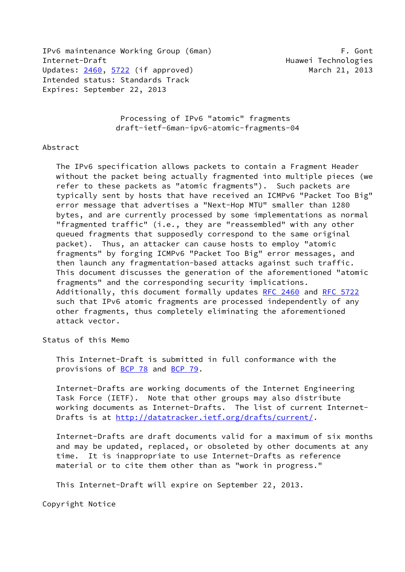IPv6 maintenance Working Group (6man) F. Gont Internet-Draft **Huamen** Huawei Technologies Updates: [2460](https://datatracker.ietf.org/doc/pdf/rfc2460), [5722](https://datatracker.ietf.org/doc/pdf/rfc5722) (if approved) March 21, 2013 Intended status: Standards Track Expires: September 22, 2013

 Processing of IPv6 "atomic" fragments draft-ietf-6man-ipv6-atomic-fragments-04

## Abstract

 The IPv6 specification allows packets to contain a Fragment Header without the packet being actually fragmented into multiple pieces (we refer to these packets as "atomic fragments"). Such packets are typically sent by hosts that have received an ICMPv6 "Packet Too Big" error message that advertises a "Next-Hop MTU" smaller than 1280 bytes, and are currently processed by some implementations as normal "fragmented traffic" (i.e., they are "reassembled" with any other queued fragments that supposedly correspond to the same original packet). Thus, an attacker can cause hosts to employ "atomic fragments" by forging ICMPv6 "Packet Too Big" error messages, and then launch any fragmentation-based attacks against such traffic. This document discusses the generation of the aforementioned "atomic fragments" and the corresponding security implications. Additionally, this document formally updates [RFC 2460](https://datatracker.ietf.org/doc/pdf/rfc2460) and [RFC 5722](https://datatracker.ietf.org/doc/pdf/rfc5722) such that IPv6 atomic fragments are processed independently of any other fragments, thus completely eliminating the aforementioned attack vector.

Status of this Memo

 This Internet-Draft is submitted in full conformance with the provisions of [BCP 78](https://datatracker.ietf.org/doc/pdf/bcp78) and [BCP 79](https://datatracker.ietf.org/doc/pdf/bcp79).

 Internet-Drafts are working documents of the Internet Engineering Task Force (IETF). Note that other groups may also distribute working documents as Internet-Drafts. The list of current Internet- Drafts is at<http://datatracker.ietf.org/drafts/current/>.

 Internet-Drafts are draft documents valid for a maximum of six months and may be updated, replaced, or obsoleted by other documents at any time. It is inappropriate to use Internet-Drafts as reference material or to cite them other than as "work in progress."

This Internet-Draft will expire on September 22, 2013.

Copyright Notice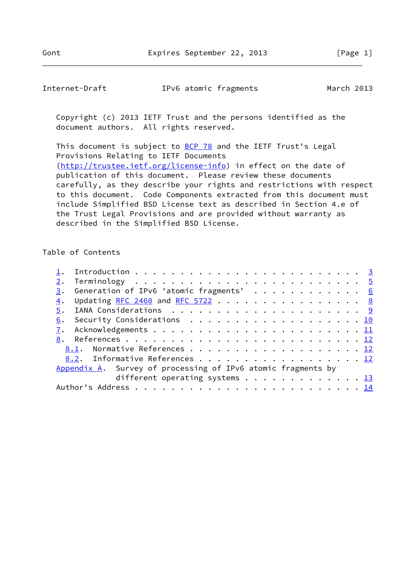| Internet-Draft | IPv6 atomic fragments | March 2013 |
|----------------|-----------------------|------------|
|----------------|-----------------------|------------|

 Copyright (c) 2013 IETF Trust and the persons identified as the document authors. All rights reserved.

This document is subject to **[BCP 78](https://datatracker.ietf.org/doc/pdf/bcp78)** and the IETF Trust's Legal Provisions Relating to IETF Documents [\(http://trustee.ietf.org/license-info](http://trustee.ietf.org/license-info)) in effect on the date of publication of this document. Please review these documents carefully, as they describe your rights and restrictions with respect to this document. Code Components extracted from this document must include Simplified BSD License text as described in Section 4.e of the Trust Legal Provisions and are provided without warranty as described in the Simplified BSD License.

## Table of Contents

|  | $\underline{3}$ . Generation of IPv6 'atomic fragments' 6    |  |
|--|--------------------------------------------------------------|--|
|  | 4. Updating RFC 2460 and RFC 5722 8                          |  |
|  |                                                              |  |
|  | 6. Security Considerations 10                                |  |
|  |                                                              |  |
|  |                                                              |  |
|  | 8.1. Normative References 12                                 |  |
|  | 8.2. Informative References 12                               |  |
|  | Appendix A. Survey of processing of IPv6 atomic fragments by |  |
|  | different operating systems 13                               |  |
|  |                                                              |  |
|  |                                                              |  |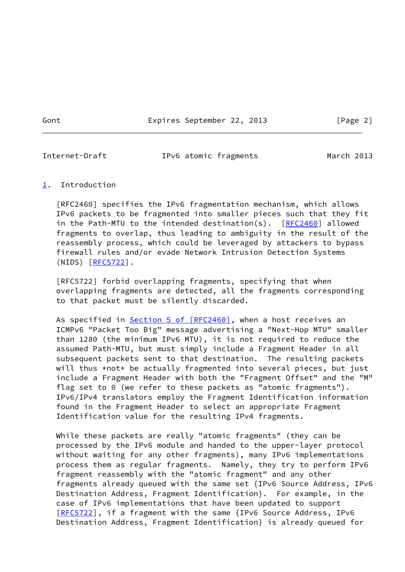Gont Expires September 22, 2013 [Page 2]

<span id="page-2-1"></span>

Internet-Draft IPv6 atomic fragments March 2013

## <span id="page-2-0"></span>[1](#page-2-0). Introduction

 [RFC2460] specifies the IPv6 fragmentation mechanism, which allows IPv6 packets to be fragmented into smaller pieces such that they fit in the Path-MTU to the intended destination(s). [\[RFC2460](https://datatracker.ietf.org/doc/pdf/rfc2460)] allowed fragments to overlap, thus leading to ambiguity in the result of the reassembly process, which could be leveraged by attackers to bypass firewall rules and/or evade Network Intrusion Detection Systems (NIDS) [\[RFC5722](https://datatracker.ietf.org/doc/pdf/rfc5722)].

 [RFC5722] forbid overlapping fragments, specifying that when overlapping fragments are detected, all the fragments corresponding to that packet must be silently discarded.

As specified in **Section [5 of \[RFC2460\]](https://datatracker.ietf.org/doc/pdf/rfc2460#section-5)**, when a host receives an ICMPv6 "Packet Too Big" message advertising a "Next-Hop MTU" smaller than 1280 (the minimum IPv6 MTU), it is not required to reduce the assumed Path-MTU, but must simply include a Fragment Header in all subsequent packets sent to that destination. The resulting packets will thus \*not\* be actually fragmented into several pieces, but just include a Fragment Header with both the "Fragment Offset" and the "M" flag set to 0 (we refer to these packets as "atomic fragments"). IPv6/IPv4 translators employ the Fragment Identification information found in the Fragment Header to select an appropriate Fragment Identification value for the resulting IPv4 fragments.

 While these packets are really "atomic fragments" (they can be processed by the IPv6 module and handed to the upper-layer protocol without waiting for any other fragments), many IPv6 implementations process them as regular fragments. Namely, they try to perform IPv6 fragment reassembly with the "atomic fragment" and any other fragments already queued with the same set {IPv6 Source Address, IPv6 Destination Address, Fragment Identification}. For example, in the case of IPv6 implementations that have been updated to support [\[RFC5722](https://datatracker.ietf.org/doc/pdf/rfc5722)], if a fragment with the same {IPv6 Source Address, IPv6 Destination Address, Fragment Identification} is already queued for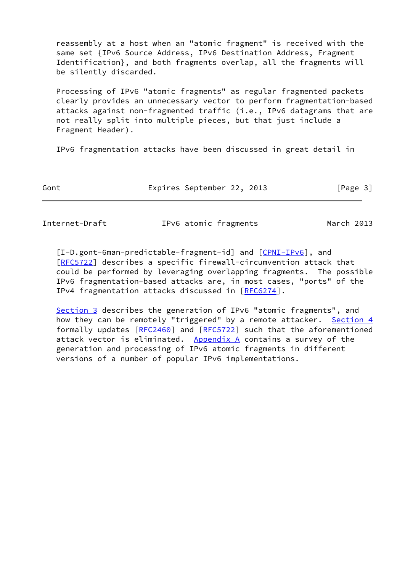reassembly at a host when an "atomic fragment" is received with the same set {IPv6 Source Address, IPv6 Destination Address, Fragment Identification}, and both fragments overlap, all the fragments will be silently discarded.

 Processing of IPv6 "atomic fragments" as regular fragmented packets clearly provides an unnecessary vector to perform fragmentation-based attacks against non-fragmented traffic (i.e., IPv6 datagrams that are not really split into multiple pieces, but that just include a Fragment Header).

IPv6 fragmentation attacks have been discussed in great detail in

Gont **Expires September 22, 2013** [Page 3]

Internet-Draft IPv6 atomic fragments March 2013

<span id="page-3-0"></span>[I-D.gont-6man-predictable-fragment-id] and  $[CPNI-IPV6]$ , and [\[RFC5722](https://datatracker.ietf.org/doc/pdf/rfc5722)] describes a specific firewall-circumvention attack that could be performed by leveraging overlapping fragments. The possible IPv6 fragmentation-based attacks are, in most cases, "ports" of the IPv4 fragmentation attacks discussed in [\[RFC6274](https://datatracker.ietf.org/doc/pdf/rfc6274)].

[Section 3](#page-5-0) describes the generation of IPv6 "atomic fragments", and how they can be remotely "triggered" by a remote attacker. [Section 4](#page-7-0) formally updates [\[RFC2460](https://datatracker.ietf.org/doc/pdf/rfc2460)] and [\[RFC5722](https://datatracker.ietf.org/doc/pdf/rfc5722)] such that the aforementioned attack vector is eliminated. Appendix  $A$  contains a survey of the generation and processing of IPv6 atomic fragments in different versions of a number of popular IPv6 implementations.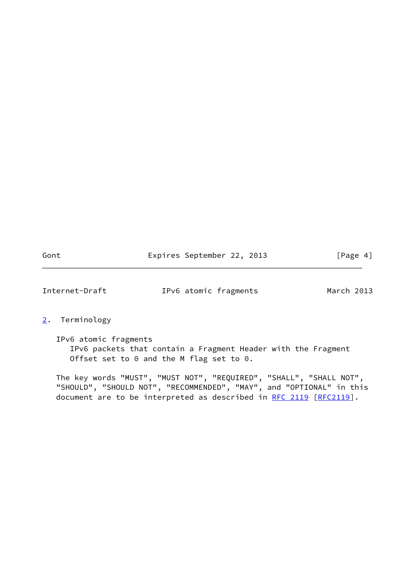Gont Expires September 22, 2013 [Page 4]

<span id="page-4-1"></span>Internet-Draft IPv6 atomic fragments March 2013

## <span id="page-4-0"></span>[2](#page-4-0). Terminology

 IPv6 atomic fragments IPv6 packets that contain a Fragment Header with the Fragment Offset set to 0 and the M flag set to 0.

 The key words "MUST", "MUST NOT", "REQUIRED", "SHALL", "SHALL NOT", "SHOULD", "SHOULD NOT", "RECOMMENDED", "MAY", and "OPTIONAL" in this document are to be interpreted as described in [RFC 2119 \[RFC2119](https://datatracker.ietf.org/doc/pdf/rfc2119)].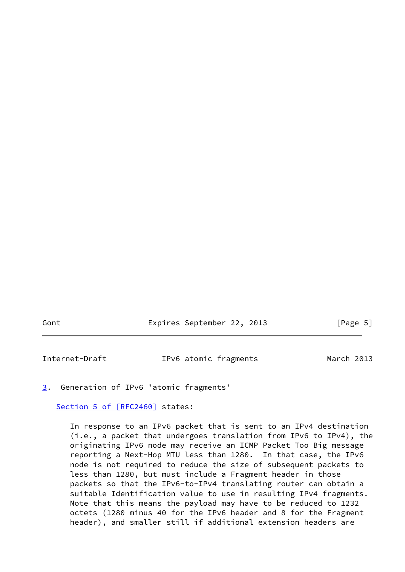Gont Expires September 22, 2013 [Page 5]

<span id="page-5-1"></span>Internet-Draft IPv6 atomic fragments March 2013

<span id="page-5-0"></span>[3](#page-5-0). Generation of IPv6 'atomic fragments'

Section [5 of \[RFC2460\]](https://datatracker.ietf.org/doc/pdf/rfc2460#section-5) states:

 In response to an IPv6 packet that is sent to an IPv4 destination (i.e., a packet that undergoes translation from IPv6 to IPv4), the originating IPv6 node may receive an ICMP Packet Too Big message reporting a Next-Hop MTU less than 1280. In that case, the IPv6 node is not required to reduce the size of subsequent packets to less than 1280, but must include a Fragment header in those packets so that the IPv6-to-IPv4 translating router can obtain a suitable Identification value to use in resulting IPv4 fragments. Note that this means the payload may have to be reduced to 1232 octets (1280 minus 40 for the IPv6 header and 8 for the Fragment header), and smaller still if additional extension headers are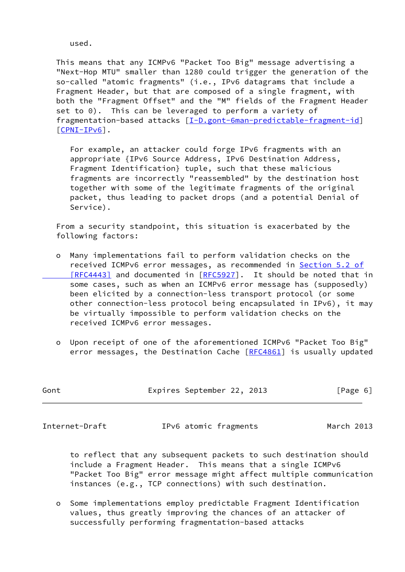used.

 This means that any ICMPv6 "Packet Too Big" message advertising a "Next-Hop MTU" smaller than 1280 could trigger the generation of the so-called "atomic fragments" (i.e., IPv6 datagrams that include a Fragment Header, but that are composed of a single fragment, with both the "Fragment Offset" and the "M" fields of the Fragment Header set to 0). This can be leveraged to perform a variety of fragmentation-based attacks [\[I-D.gont-6man-predictable-fragment-id](#page-3-0)] [\[CPNI-IPv6](#page-13-2)].

 For example, an attacker could forge IPv6 fragments with an appropriate {IPv6 Source Address, IPv6 Destination Address, Fragment Identification} tuple, such that these malicious fragments are incorrectly "reassembled" by the destination host together with some of the legitimate fragments of the original packet, thus leading to packet drops (and a potential Denial of Service).

 From a security standpoint, this situation is exacerbated by the following factors:

- o Many implementations fail to perform validation checks on the received ICMPv6 error messages, as recommended in [Section](https://datatracker.ietf.org/doc/pdf/rfc4443#section-5.2) 5.2 of [RFC4443] and documented in [\[RFC5927](https://datatracker.ietf.org/doc/pdf/rfc5927)]. It should be noted that in some cases, such as when an ICMPv6 error message has (supposedly) been elicited by a connection-less transport protocol (or some other connection-less protocol being encapsulated in IPv6), it may be virtually impossible to perform validation checks on the received ICMPv6 error messages.
- o Upon receipt of one of the aforementioned ICMPv6 "Packet Too Big" error messages, the Destination Cache [\[RFC4861](https://datatracker.ietf.org/doc/pdf/rfc4861)] is usually updated

| Gont | Expires September 22, 2013 |  | [Page 6] |  |
|------|----------------------------|--|----------|--|
|      |                            |  |          |  |

Internet-Draft IPv6 atomic fragments March 2013

 to reflect that any subsequent packets to such destination should include a Fragment Header. This means that a single ICMPv6 "Packet Too Big" error message might affect multiple communication instances (e.g., TCP connections) with such destination.

 o Some implementations employ predictable Fragment Identification values, thus greatly improving the chances of an attacker of successfully performing fragmentation-based attacks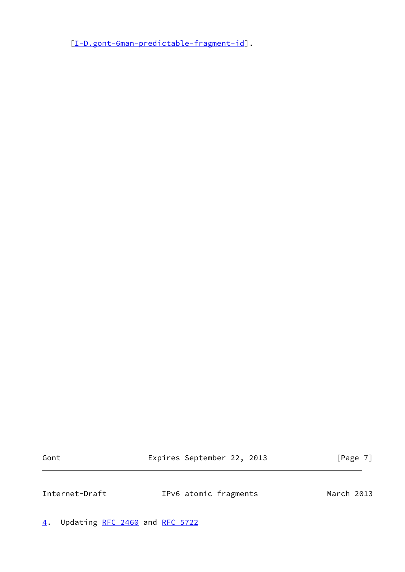[[I-D.gont-6man-predictable-fragment-id\]](#page-3-0).

Gont Expires September 22, 2013 [Page 7]

<span id="page-7-1"></span>Internet-Draft IPv6 atomic fragments March 2013

<span id="page-7-0"></span>[4](#page-7-0). Updating [RFC 2460](https://datatracker.ietf.org/doc/pdf/rfc2460) and [RFC 5722](https://datatracker.ietf.org/doc/pdf/rfc5722)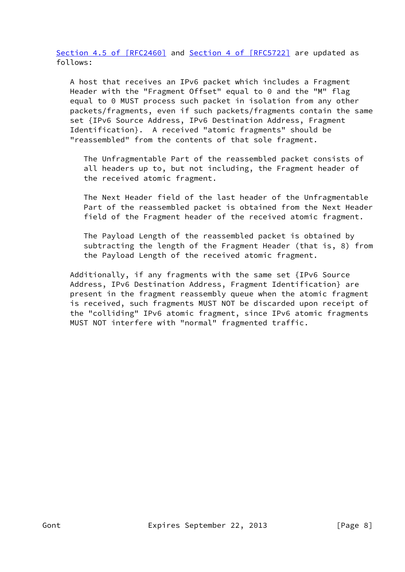Section [4.5 of \[RFC2460\]](https://datatracker.ietf.org/doc/pdf/rfc2460#section-4.5) and Section [4 of \[RFC5722\]](https://datatracker.ietf.org/doc/pdf/rfc5722#section-4) are updated as follows:

 A host that receives an IPv6 packet which includes a Fragment Header with the "Fragment Offset" equal to 0 and the "M" flag equal to 0 MUST process such packet in isolation from any other packets/fragments, even if such packets/fragments contain the same set {IPv6 Source Address, IPv6 Destination Address, Fragment Identification}. A received "atomic fragments" should be "reassembled" from the contents of that sole fragment.

 The Unfragmentable Part of the reassembled packet consists of all headers up to, but not including, the Fragment header of the received atomic fragment.

 The Next Header field of the last header of the Unfragmentable Part of the reassembled packet is obtained from the Next Header field of the Fragment header of the received atomic fragment.

 The Payload Length of the reassembled packet is obtained by subtracting the length of the Fragment Header (that is, 8) from the Payload Length of the received atomic fragment.

 Additionally, if any fragments with the same set {IPv6 Source Address, IPv6 Destination Address, Fragment Identification} are present in the fragment reassembly queue when the atomic fragment is received, such fragments MUST NOT be discarded upon receipt of the "colliding" IPv6 atomic fragment, since IPv6 atomic fragments MUST NOT interfere with "normal" fragmented traffic.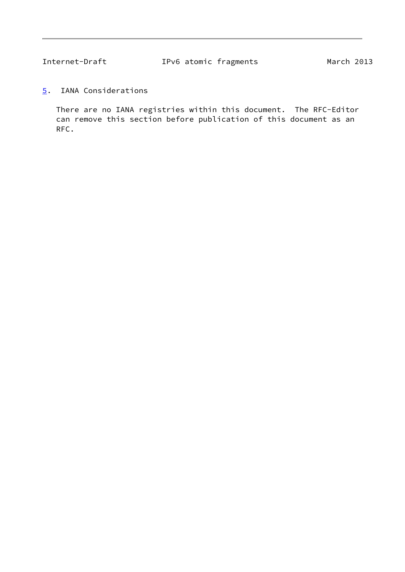<span id="page-9-1"></span>

<span id="page-9-0"></span>[5](#page-9-0). IANA Considerations

 There are no IANA registries within this document. The RFC-Editor can remove this section before publication of this document as an RFC.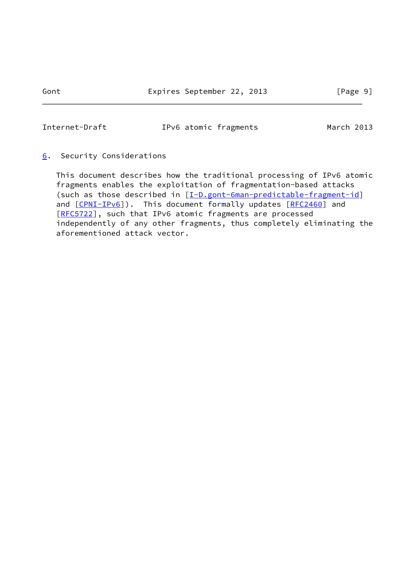Gont Expires September 22, 2013 [Page 9]

<span id="page-10-1"></span>Internet-Draft IPv6 atomic fragments March 2013

# <span id="page-10-0"></span>[6](#page-10-0). Security Considerations

 This document describes how the traditional processing of IPv6 atomic fragments enables the exploitation of fragmentation-based attacks (such as those described in [\[I-D.gont-6man-predictable-fragment-id](#page-3-0)] and [\[CPNI-IPv6](#page-13-2)]). This document formally updates [[RFC2460](https://datatracker.ietf.org/doc/pdf/rfc2460)] and [\[RFC5722](https://datatracker.ietf.org/doc/pdf/rfc5722)], such that IPv6 atomic fragments are processed independently of any other fragments, thus completely eliminating the aforementioned attack vector.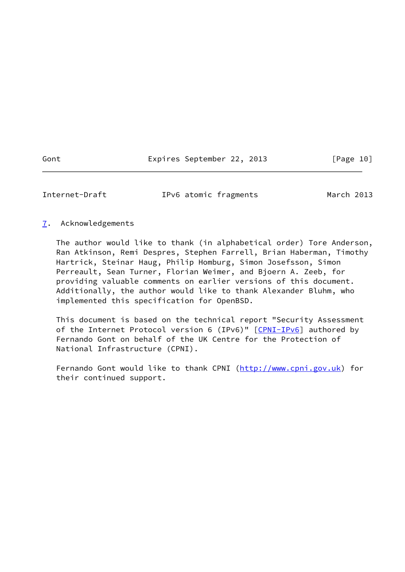Gont Expires September 22, 2013 [Page 10]

<span id="page-11-1"></span>Internet-Draft IPv6 atomic fragments March 2013

## <span id="page-11-0"></span>[7](#page-11-0). Acknowledgements

 The author would like to thank (in alphabetical order) Tore Anderson, Ran Atkinson, Remi Despres, Stephen Farrell, Brian Haberman, Timothy Hartrick, Steinar Haug, Philip Homburg, Simon Josefsson, Simon Perreault, Sean Turner, Florian Weimer, and Bjoern A. Zeeb, for providing valuable comments on earlier versions of this document. Additionally, the author would like to thank Alexander Bluhm, who implemented this specification for OpenBSD.

 This document is based on the technical report "Security Assessment of the Internet Protocol version 6 (IPv6)" [[CPNI-IPv6\]](#page-13-2) authored by Fernando Gont on behalf of the UK Centre for the Protection of National Infrastructure (CPNI).

Fernando Gont would like to thank CPNI [\(http://www.cpni.gov.uk](http://www.cpni.gov.uk)) for their continued support.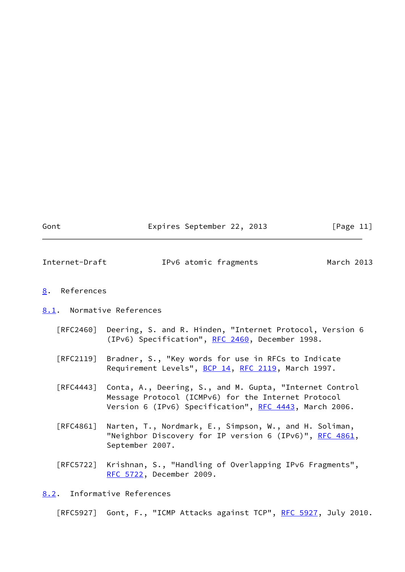Gont **Expires September 22, 2013** [Page 11]

<span id="page-12-1"></span>Internet-Draft IPv6 atomic fragments March 2013

### <span id="page-12-0"></span>[8](#page-12-0). References

#### <span id="page-12-2"></span>[8.1](#page-12-2). Normative References

- [RFC2460] Deering, S. and R. Hinden, "Internet Protocol, Version 6 (IPv6) Specification", [RFC 2460](https://datatracker.ietf.org/doc/pdf/rfc2460), December 1998.
- [RFC2119] Bradner, S., "Key words for use in RFCs to Indicate Requirement Levels", [BCP 14](https://datatracker.ietf.org/doc/pdf/bcp14), [RFC 2119](https://datatracker.ietf.org/doc/pdf/rfc2119), March 1997.
- [RFC4443] Conta, A., Deering, S., and M. Gupta, "Internet Control Message Protocol (ICMPv6) for the Internet Protocol Version 6 (IPv6) Specification", [RFC 4443,](https://datatracker.ietf.org/doc/pdf/rfc4443) March 2006.
- [RFC4861] Narten, T., Nordmark, E., Simpson, W., and H. Soliman, "Neighbor Discovery for IP version 6 (IPv6)", [RFC 4861](https://datatracker.ietf.org/doc/pdf/rfc4861), September 2007.
- [RFC5722] Krishnan, S., "Handling of Overlapping IPv6 Fragments", [RFC 5722,](https://datatracker.ietf.org/doc/pdf/rfc5722) December 2009.

<span id="page-12-3"></span>[8.2](#page-12-3). Informative References

[RFC5927] Gont, F., "ICMP Attacks against TCP", [RFC 5927](https://datatracker.ietf.org/doc/pdf/rfc5927), July 2010.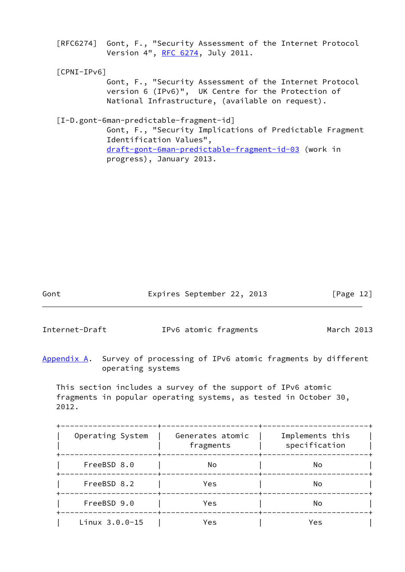[RFC6274] Gont, F., "Security Assessment of the Internet Protocol Version 4", [RFC 6274,](https://datatracker.ietf.org/doc/pdf/rfc6274) July 2011.

<span id="page-13-2"></span>[CPNI-IPv6]

 Gont, F., "Security Assessment of the Internet Protocol version 6 (IPv6)", UK Centre for the Protection of National Infrastructure, (available on request).

[I-D.gont-6man-predictable-fragment-id]

 Gont, F., "Security Implications of Predictable Fragment Identification Values", [draft-gont-6man-predictable-fragment-id-03](https://datatracker.ietf.org/doc/pdf/draft-gont-6man-predictable-fragment-id-03) (work in progress), January 2013.

Gont Expires September 22, 2013 [Page 12]

<span id="page-13-1"></span>Internet-Draft IPv6 atomic fragments March 2013

<span id="page-13-0"></span>[Appendix A.](#page-13-0) Survey of processing of IPv6 atomic fragments by different operating systems

 This section includes a survey of the support of IPv6 atomic fragments in popular operating systems, as tested in October 30, 2012.

| Operating System   | Generates atomic<br>fragments | Implements this<br>specification |
|--------------------|-------------------------------|----------------------------------|
| FreeBSD 8.0        | No                            | No                               |
| FreeBSD 8.2        | Yes                           | No                               |
| FreeBSD 9.0        | Yes                           | No                               |
| $Linux 3.0.0 - 15$ | Yes                           | Yes                              |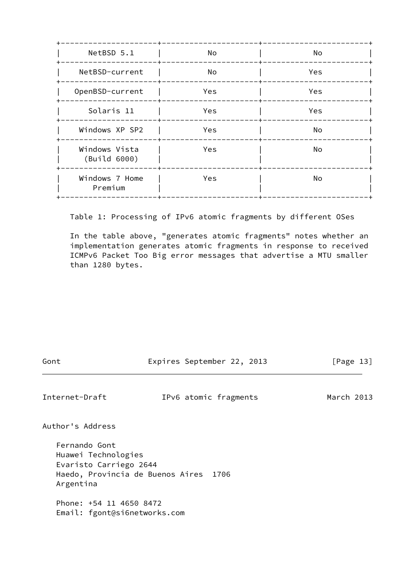| NetBSD 5.1                    | No  | No  |  |
|-------------------------------|-----|-----|--|
| NetBSD-current                | No  | Yes |  |
| OpenBSD-current               | Yes | Yes |  |
| Solaris 11                    | Yes | Yes |  |
| Windows XP SP2                | Yes | No  |  |
| Windows Vista<br>(Build 6000) | Yes | No  |  |
| Windows 7 Home<br>Premium     | Yes | No  |  |
|                               |     |     |  |

Table 1: Processing of IPv6 atomic fragments by different OSes

 In the table above, "generates atomic fragments" notes whether an implementation generates atomic fragments in response to received ICMPv6 Packet Too Big error messages that advertise a MTU smaller than 1280 bytes.

| ٧<br>٧<br>×<br>M.<br>I |
|------------------------|
|------------------------|

Expires September 22, 2013 [Page 13]

<span id="page-14-0"></span>Internet-Draft IPv6 atomic fragments March 2013

Author's Address

 Fernando Gont Huawei Technologies Evaristo Carriego 2644 Haedo, Provincia de Buenos Aires 1706 Argentina

 Phone: +54 11 4650 8472 Email: fgont@si6networks.com